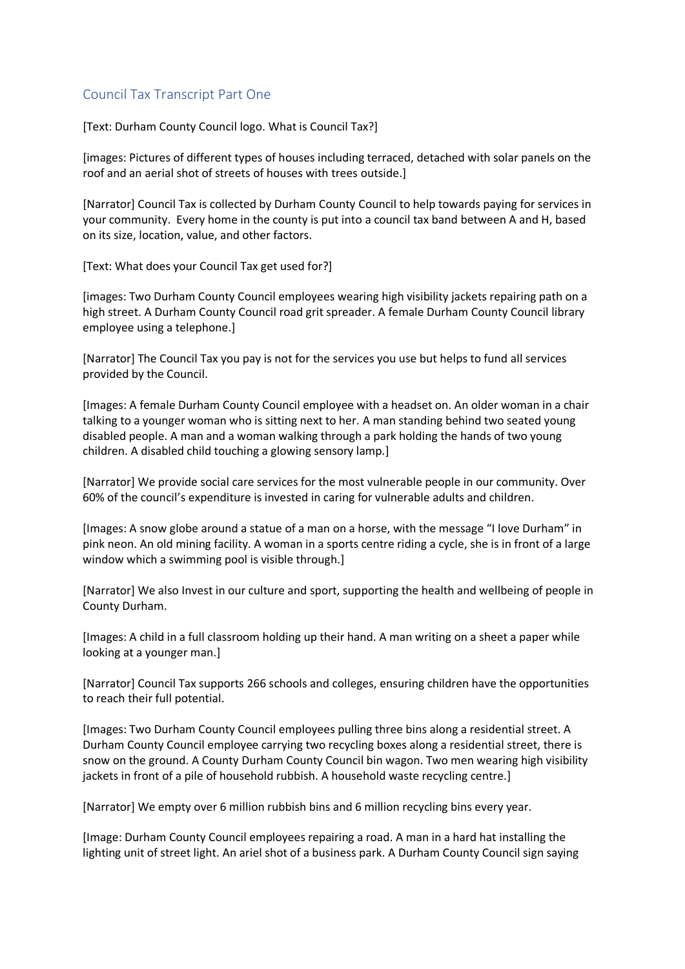## Council Tax Transcript Part One

[Text: Durham County Council logo. What is Council Tax?]

[images: Pictures of different types of houses including terraced, detached with solar panels on the roof and an aerial shot of streets of houses with trees outside.]

[Narrator] Council Tax is collected by Durham County Council to help towards paying for services in your community. Every home in the county is put into a council tax band between A and H, based on its size, location, value, and other factors.

[Text: What does your Council Tax get used for?]

[images: Two Durham County Council employees wearing high visibility jackets repairing path on a high street. A Durham County Council road grit spreader. A female Durham County Council library employee using a telephone.]

[Narrator] The Council Tax you pay is not for the services you use but helps to fund all services provided by the Council.

[Images: A female Durham County Council employee with a headset on. An older woman in a chair talking to a younger woman who is sitting next to her. A man standing behind two seated young disabled people. A man and a woman walking through a park holding the hands of two young children. A disabled child touching a glowing sensory lamp.]

[Narrator] We provide social care services for the most vulnerable people in our community. Over 60% of the council's expenditure is invested in caring for vulnerable adults and children.

[Images: A snow globe around a statue of a man on a horse, with the message "I love Durham" in pink neon. An old mining facility. A woman in a sports centre riding a cycle, she is in front of a large window which a swimming pool is visible through.]

[Narrator] We also Invest in our culture and sport, supporting the health and wellbeing of people in County Durham.

[Images: A child in a full classroom holding up their hand. A man writing on a sheet a paper while looking at a younger man.]

[Narrator] Council Tax supports 266 schools and colleges, ensuring children have the opportunities to reach their full potential.

[Images: Two Durham County Council employees pulling three bins along a residential street. A Durham County Council employee carrying two recycling boxes along a residential street, there is snow on the ground. A County Durham County Council bin wagon. Two men wearing high visibility jackets in front of a pile of household rubbish. A household waste recycling centre.]

[Narrator] We empty over 6 million rubbish bins and 6 million recycling bins every year.

[Image: Durham County Council employees repairing a road. A man in a hard hat installing the lighting unit of street light. An ariel shot of a business park. A Durham County Council sign saying